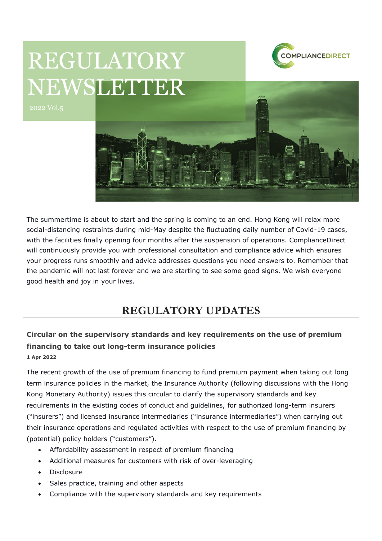

# REGULATORY NEWSLETTER



The summertime is about to start and the spring is coming to an end. Hong Kong will relax more social-distancing restraints during mid-May despite the fluctuating daily number of Covid-19 cases, with the facilities finally opening four months after the suspension of operations. ComplianceDirect will continuously provide you with professional consultation and compliance advice which ensures your progress runs smoothly and advice addresses questions you need answers to. Remember that the pandemic will not last forever and we are starting to see some good signs. We wish everyone good health and joy in your lives.

## **REGULATORY UPDATES**

## **Circular on the supervisory standards and key requirements on the use of premium financing to take out long-term insurance policies**

**1 Apr 2022**

The recent growth of the use of premium financing to fund premium payment when taking out long term insurance policies in the market, the Insurance Authority (following discussions with the Hong Kong Monetary Authority) issues this circular to clarify the supervisory standards and key requirements in the existing codes of conduct and guidelines, for authorized long-term insurers ("insurers") and licensed insurance intermediaries ("insurance intermediaries") when carrying out their insurance operations and regulated activities with respect to the use of premium financing by (potential) policy holders ("customers").

- Affordability assessment in respect of premium financing
- Additional measures for customers with risk of over-leveraging
- Disclosure
- Sales practice, training and other aspects
- Compliance with the supervisory standards and key requirements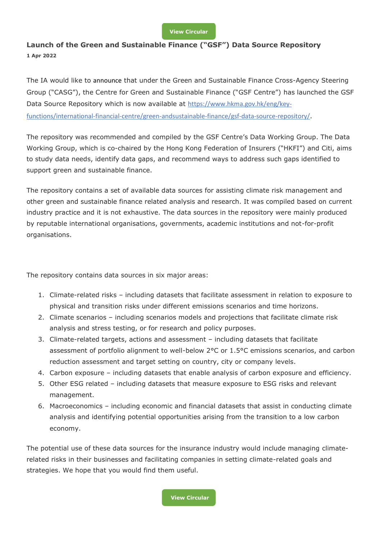#### **[View Circular](https://www.ia.org.hk/en/legislative_framework/circulars/reg_matters/files/Circular_01042022.pdf)**

### **Launch of the Green and Sustainable Finance ("GSF") Data Source Repository 1 Apr 2022**

The IA would like to announce that under the Green and Sustainable Finance Cross-Agency Steering Group ("CASG"), the Centre for Green and Sustainable Finance ("GSF Centre") has launched the GSF Data Source Repository which is now available at [https://www.hkma.gov.hk/eng/key](https://www.hkma.gov.hk/eng/key-functions/international-financial-centre/green-andsustainable-finance/gsf-data-source-repository/)[functions/international-financial-centre/green-andsustainable-finance/gsf-data-source-repository/](https://www.hkma.gov.hk/eng/key-functions/international-financial-centre/green-andsustainable-finance/gsf-data-source-repository/).

The repository was recommended and compiled by the GSF Centre's Data Working Group. The Data Working Group, which is co-chaired by the Hong Kong Federation of Insurers ("HKFI") and Citi, aims to study data needs, identify data gaps, and recommend ways to address such gaps identified to support green and sustainable finance.

The repository contains a set of available data sources for assisting climate risk management and other green and sustainable finance related analysis and research. It was compiled based on current industry practice and it is not exhaustive. The data sources in the repository were mainly produced by reputable international organisations, governments, academic institutions and not-for-profit organisations.

The repository contains data sources in six major areas:

- 1. Climate-related risks including datasets that facilitate assessment in relation to exposure to physical and transition risks under different emissions scenarios and time horizons.
- 2. Climate scenarios including scenarios models and projections that facilitate climate risk analysis and stress testing, or for research and policy purposes.
- 3. Climate-related targets, actions and assessment including datasets that facilitate assessment of portfolio alignment to well-below 2°C or 1.5°C emissions scenarios, and carbon reduction assessment and target setting on country, city or company levels.
- 4. Carbon exposure including datasets that enable analysis of carbon exposure and efficiency.
- 5. Other ESG related including datasets that measure exposure to ESG risks and relevant management.
- 6. Macroeconomics including economic and financial datasets that assist in conducting climate analysis and identifying potential opportunities arising from the transition to a low carbon economy.

The potential use of these data sources for the insurance industry would include managing climaterelated risks in their businesses and facilitating companies in setting climate-related goals and strategies. We hope that you would find them useful.

**[View Circular](https://www.ia.org.hk/en/legislative_framework/circulars/reg_matters/files/Circular_01042022_GSF.pdf)**